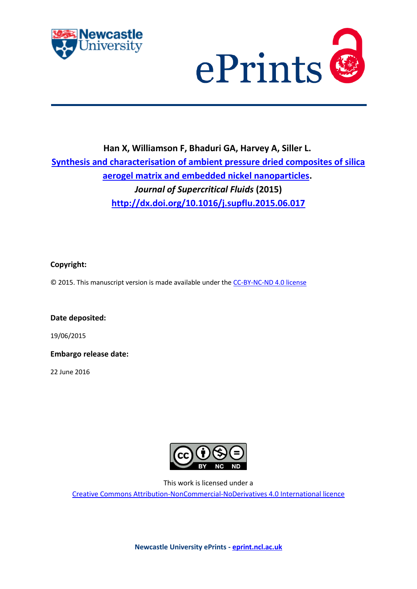



# **Han X, Williamson F, Bhaduri GA, Harvey A, Siller L. Synthesis and characterisation of ambient pressure dried composites of silica aerogel matrix and embedded nickel nanoparticles.** *Journal of Supercritical Fluids* **(2015) <http://dx.doi.org/10.1016/j.supflu.2015.06.017>**

## **Copyright:**

© 2015. This manuscript version is made available under the [CC-BY-NC-ND 4.0 license](http://creativecommons.org/licenses/by-nc-nd/4.0/)

**Date deposited:** 

19/06/2015

**Embargo release date:**

22 June 2016



This work is licensed under a

[Creative Commons Attribution-NonCommercial-NoDerivatives 4.0 International licence](https://creativecommons.org/licenses/by-nc-nd/4.0/)

**Newcastle University ePrints - [eprint.ncl.ac.uk](http://eprint.ncl.ac.uk/)**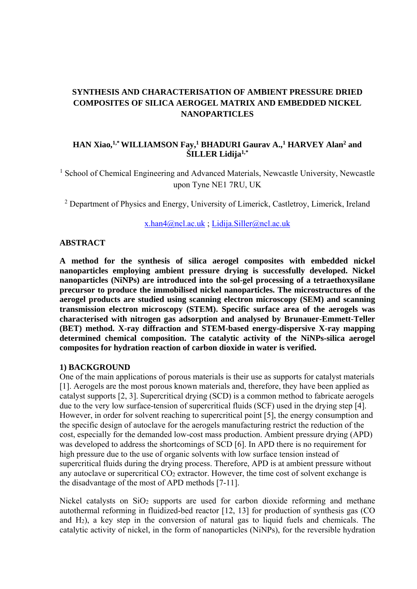# **SYNTHESIS AND CHARACTERISATION OF AMBIENT PRESSURE DRIED COMPOSITES OF SILICA AEROGEL MATRIX AND EMBEDDED NICKEL NANOPARTICLES**

## **HAN Xiao,1,\* WILLIAMSON Fay,1 BHADURI Gaurav A.,1 HARVEY Alan2 and ŠILLER Lidija1,\***

<sup>1</sup> School of Chemical Engineering and Advanced Materials, Newcastle University, Newcastle upon Tyne NE1 7RU, UK

<sup>2</sup> Department of Physics and Energy, University of Limerick, Castletroy, Limerick, Ireland

x.han4@ncl.ac.uk ; Lidija.Siller@ncl.ac.uk

#### **ABSTRACT**

**A method for the synthesis of silica aerogel composites with embedded nickel nanoparticles employing ambient pressure drying is successfully developed. Nickel nanoparticles (NiNPs) are introduced into the sol-gel processing of a tetraethoxysilane precursor to produce the immobilised nickel nanoparticles. The microstructures of the aerogel products are studied using scanning electron microscopy (SEM) and scanning transmission electron microscopy (STEM). Specific surface area of the aerogels was characterised with nitrogen gas adsorption and analysed by Brunauer-Emmett-Teller (BET) method. X-ray diffraction and STEM-based energy-dispersive X-ray mapping determined chemical composition. The catalytic activity of the NiNPs-silica aerogel composites for hydration reaction of carbon dioxide in water is verified.** 

#### **1) BACKGROUND**

One of the main applications of porous materials is their use as supports for catalyst materials [1]. Aerogels are the most porous known materials and, therefore, they have been applied as catalyst supports [2, 3]. Supercritical drying (SCD) is a common method to fabricate aerogels due to the very low surface-tension of supercritical fluids (SCF) used in the drying step [4]. However, in order for solvent reaching to supercritical point [5], the energy consumption and the specific design of autoclave for the aerogels manufacturing restrict the reduction of the cost, especially for the demanded low-cost mass production. Ambient pressure drying (APD) was developed to address the shortcomings of SCD [6]. In APD there is no requirement for high pressure due to the use of organic solvents with low surface tension instead of supercritical fluids during the drying process. Therefore, APD is at ambient pressure without any autoclave or supercritical  $CO<sub>2</sub>$  extractor. However, the time cost of solvent exchange is the disadvantage of the most of APD methods [7-11].

Nickel catalysts on  $SiO<sub>2</sub>$  supports are used for carbon dioxide reforming and methane autothermal reforming in fluidized-bed reactor [12, 13] for production of synthesis gas (CO and  $H_2$ ), a key step in the conversion of natural gas to liquid fuels and chemicals. The catalytic activity of nickel, in the form of nanoparticles (NiNPs), for the reversible hydration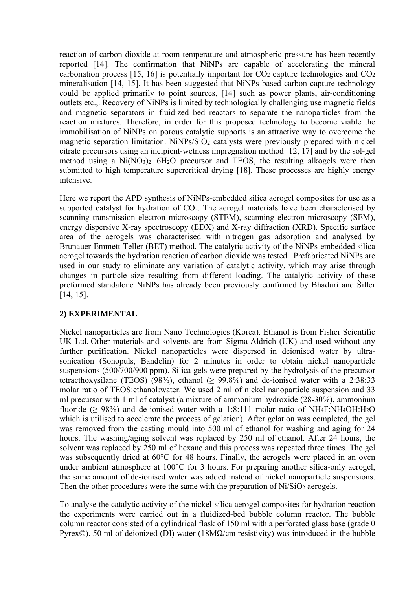reaction of carbon dioxide at room temperature and atmospheric pressure has been recently reported [14]. The confirmation that NiNPs are capable of accelerating the mineral carbonation process [15, 16] is potentially important for  $CO<sub>2</sub>$  capture technologies and  $CO<sub>2</sub>$ mineralisation [14, 15]. It has been suggested that NiNPs based carbon capture technology could be applied primarily to point sources, [14] such as power plants, air-conditioning outlets etc.,. Recovery of NiNPs is limited by technologically challenging use magnetic fields and magnetic separators in fluidized bed reactors to separate the nanoparticles from the reaction mixtures. Therefore, in order for this proposed technology to become viable the immobilisation of NiNPs on porous catalytic supports is an attractive way to overcome the magnetic separation limitation. NiNPs/SiO<sub>2</sub> catalysts were previously prepared with nickel citrate precursors using an incipient-wetness impregnation method [12, 17] and by the sol-gel method using a  $Ni(NO<sub>3</sub>)<sub>2</sub>$  6H<sub>2</sub>O precursor and TEOS, the resulting alkogels were then submitted to high temperature supercritical drying [18]. These processes are highly energy intensive.

Here we report the APD synthesis of NiNPs-embedded silica aerogel composites for use as a supported catalyst for hydration of CO<sub>2</sub>. The aerogel materials have been characterised by scanning transmission electron microscopy (STEM), scanning electron microscopy (SEM), energy dispersive X-ray spectroscopy (EDX) and X-ray diffraction (XRD). Specific surface area of the aerogels was characterised with nitrogen gas adsorption and analysed by Brunauer-Emmett-Teller (BET) method. The catalytic activity of the NiNPs-embedded silica aerogel towards the hydration reaction of carbon dioxide was tested. Prefabricated NiNPs are used in our study to eliminate any variation of catalytic activity, which may arise through changes in particle size resulting from different loading. The catalytic activity of these preformed standalone NiNPs has already been previously confirmed by Bhaduri and Šiller [14, 15].

## **2) EXPERIMENTAL**

Nickel nanoparticles are from Nano Technologies (Korea). Ethanol is from Fisher Scientific UK Ltd. Other materials and solvents are from Sigma-Aldrich (UK) and used without any further purification. Nickel nanoparticles were dispersed in deionised water by ultrasonication (Sonopuls, Bandelin) for 2 minutes in order to obtain nickel nanoparticle suspensions (500/700/900 ppm). Silica gels were prepared by the hydrolysis of the precursor tetraethoxysilane (TEOS) (98%), ethanol ( $\geq$  99.8%) and de-ionised water with a 2:38:33 molar ratio of TEOS:ethanol:water. We used 2 ml of nickel nanoparticle suspension and 33 ml precursor with 1 ml of catalyst (a mixture of ammonium hydroxide (28-30%), ammonium fluoride ( $\geq 98\%$ ) and de-ionised water with a 1:8:111 molar ratio of NH<sub>4</sub>F:NH<sub>4</sub>OH:H<sub>2</sub>O which is utilised to accelerate the process of gelation). After gelation was completed, the gel was removed from the casting mould into 500 ml of ethanol for washing and aging for 24 hours. The washing/aging solvent was replaced by 250 ml of ethanol. After 24 hours, the solvent was replaced by 250 ml of hexane and this process was repeated three times. The gel was subsequently dried at 60°C for 48 hours. Finally, the aerogels were placed in an oven under ambient atmosphere at 100°C for 3 hours. For preparing another silica-only aerogel, the same amount of de-ionised water was added instead of nickel nanoparticle suspensions. Then the other procedures were the same with the preparation of  $Ni/SiO<sub>2</sub>$  aerogels.

To analyse the catalytic activity of the nickel-silica aerogel composites for hydration reaction the experiments were carried out in a fluidized-bed bubble column reactor. The bubble column reactor consisted of a cylindrical flask of 150 ml with a perforated glass base (grade 0 Pyrex©). 50 ml of deionized (DI) water (18MΩ/cm resistivity) was introduced in the bubble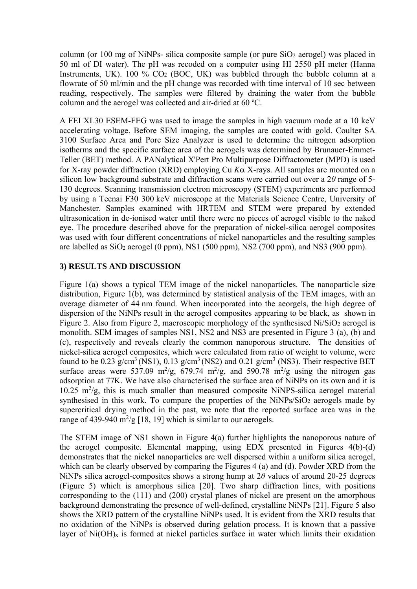column (or 100 mg of NiNPs- silica composite sample (or pure  $SiO<sub>2</sub>$  aerogel) was placed in 50 ml of DI water). The pH was recoded on a computer using HI 2550 pH meter (Hanna Instruments, UK). 100 %  $CO<sub>2</sub>$  (BOC, UK) was bubbled through the bubble column at a flowrate of 50 ml/min and the pH change was recorded with time interval of 10 sec between reading, respectively. The samples were filtered by draining the water from the bubble column and the aerogel was collected and air-dried at 60 ºC.

A FEI XL30 ESEM-FEG was used to image the samples in high vacuum mode at a 10 keV accelerating voltage. Before SEM imaging, the samples are coated with gold. Coulter SA 3100 Surface Area and Pore Size Analyzer is used to determine the nitrogen adsorption isotherms and the specific surface area of the aerogels was determined by Brunauer-Emmet-Teller (BET) method. A PANalytical X'Pert Pro Multipurpose Diffractometer (MPD) is used for X-ray powder diffraction (XRD) employing Cu  $K\alpha$  X-rays. All samples are mounted on a silicon low background substrate and diffraction scans were carried out over a 2*θ* range of 5- 130 degrees. Scanning transmission electron microscopy (STEM) experiments are performed by using a Tecnai F30 300 keV microscope at the Materials Science Centre, University of Manchester. Samples examined with HRTEM and STEM were prepared by extended ultrasonication in de-ionised water until there were no pieces of aerogel visible to the naked eye. The procedure described above for the preparation of nickel-silica aerogel composites was used with four different concentrations of nickel nanoparticles and the resulting samples are labelled as  $SiO_2$  aerogel (0 ppm), NS1 (500 ppm), NS2 (700 ppm), and NS3 (900 ppm).

## **3) RESULTS AND DISCUSSION**

Figure 1(a) shows a typical TEM image of the nickel nanoparticles. The nanoparticle size distribution, Figure 1(b), was determined by statistical analysis of the TEM images, with an average diameter of 44 nm found. When incorporated into the aeorgels, the high degree of dispersion of the NiNPs result in the aerogel composites appearing to be black, as shown in Figure 2. Also from Figure 2, macroscopic morphology of the synthesised Ni/SiO<sub>2</sub> aerogel is monolith. SEM images of samples NS1, NS2 and NS3 are presented in Figure 3 (a), (b) and (c), respectively and reveals clearly the common nanoporous structure. The densities of nickel-silica aerogel composites, which were calculated from ratio of weight to volume, were found to be 0.23  $g/cm^3$  (NS1), 0.13  $g/cm^3$  (NS2) and 0.21  $g/cm^3$  (NS3). Their respective BET surface areas were 537.09 m<sup>2</sup>/g, 679.74 m<sup>2</sup>/g, and 590.78 m<sup>2</sup>/g using the nitrogen gas adsorption at 77K. We have also characterised the surface area of NiNPs on its own and it is  $10.25 \text{ m}^2/\text{g}$ , this is much smaller than measured composite NiNPS-silica aerogel material synthesised in this work. To compare the properties of the  $NiNPs/SiO<sub>2</sub>$  aerogels made by supercritical drying method in the past, we note that the reported surface area was in the range of 439-940  $m^2/g$  [18, 19] which is similar to our aerogels.

The STEM image of NS1 shown in Figure 4(a) further highlights the nanoporous nature of the aerogel composite. Elemental mapping, using EDX presented in Figures 4(b)-(d) demonstrates that the nickel nanoparticles are well dispersed within a uniform silica aerogel, which can be clearly observed by comparing the Figures 4 (a) and (d). Powder XRD from the NiNPs silica aerogel-composites shows a strong hump at 2*θ* values of around 20-25 degrees (Figure 5) which is amorphous silica [20]. Two sharp diffraction lines, with positions corresponding to the (111) and (200) crystal planes of nickel are present on the amorphous background demonstrating the presence of well-defined, crystalline NiNPs [21]. Figure 5 also shows the XRD pattern of the crystalline NiNPs used. It is evident from the XRD results that no oxidation of the NiNPs is observed during gelation process. It is known that a passive layer of  $Ni(OH)<sub>x</sub>$  is formed at nickel particles surface in water which limits their oxidation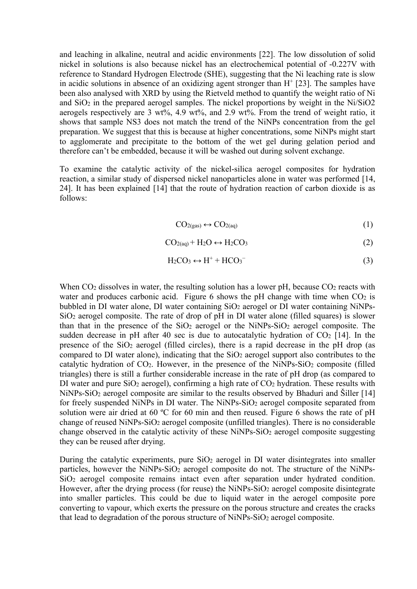and leaching in alkaline, neutral and acidic environments [22]. The low dissolution of solid nickel in solutions is also because nickel has an electrochemical potential of -0.227V with reference to Standard Hydrogen Electrode (SHE), suggesting that the Ni leaching rate is slow in acidic solutions in absence of an oxidizing agent stronger than  $H^+$  [23]. The samples have been also analysed with XRD by using the Rietveld method to quantify the weight ratio of Ni and  $SiO<sub>2</sub>$  in the prepared aerogel samples. The nickel proportions by weight in the Ni/SiO2 aerogels respectively are 3 wt%, 4.9 wt%, and 2.9 wt%. From the trend of weight ratio, it shows that sample NS3 does not match the trend of the NiNPs concentration from the gel preparation. We suggest that this is because at higher concentrations, some NiNPs might start to agglomerate and precipitate to the bottom of the wet gel during gelation period and therefore can't be embedded, because it will be washed out during solvent exchange.

To examine the catalytic activity of the nickel-silica aerogel composites for hydration reaction, a similar study of dispersed nickel nanoparticles alone in water was performed [14, 24]. It has been explained [14] that the route of hydration reaction of carbon dioxide is as follows:

$$
CO_{2(gas)} \leftrightarrow CO_{2(aq)} \tag{1}
$$

$$
CO_{2(aq)} + H_2O \leftrightarrow H_2CO_3 \tag{2}
$$

$$
H_2CO_3 \leftrightarrow H^+ + HCO_3^- \tag{3}
$$

When  $CO<sub>2</sub>$  dissolves in water, the resulting solution has a lower pH, because  $CO<sub>2</sub>$  reacts with water and produces carbonic acid. Figure 6 shows the pH change with time when  $CO<sub>2</sub>$  is bubbled in DI water alone, DI water containing SiO<sub>2</sub> aerogel or DI water containing NiNPs- $SiO<sub>2</sub>$  aerogel composite. The rate of drop of pH in DI water alone (filled squares) is slower than that in the presence of the  $SiO<sub>2</sub>$  aerogel or the NiNPs- $SiO<sub>2</sub>$  aerogel composite. The sudden decrease in pH after 40 sec is due to autocatalytic hydration of  $CO<sub>2</sub>$  [14]. In the presence of the  $SiO<sub>2</sub>$  aerogel (filled circles), there is a rapid decrease in the pH drop (as compared to DI water alone), indicating that the  $SiO<sub>2</sub>$  aerogel support also contributes to the catalytic hydration of  $CO<sub>2</sub>$ . However, in the presence of the NiNPs-SiO<sub>2</sub> composite (filled triangles) there is still a further considerable increase in the rate of pH drop (as compared to DI water and pure  $SiO<sub>2</sub>$  aerogel), confirming a high rate of  $CO<sub>2</sub>$  hydration. These results with NiNPs-SiO2 aerogel composite are similar to the results observed by Bhaduri and Šiller [14] for freely suspended NiNPs in DI water. The NiNPs-SiO<sub>2</sub> aerogel composite separated from solution were air dried at 60 °C for 60 min and then reused. Figure 6 shows the rate of pH change of reused NiNPs-SiO2 aerogel composite (unfilled triangles). There is no considerable change observed in the catalytic activity of these  $NiNPs-SiO<sub>2</sub>$  aerogel composite suggesting they can be reused after drying.

During the catalytic experiments, pure  $SiO<sub>2</sub>$  aerogel in DI water disintegrates into smaller particles, however the NiNPs-SiO<sub>2</sub> aerogel composite do not. The structure of the NiNPs-SiO2 aerogel composite remains intact even after separation under hydrated condition. However, after the drying process (for reuse) the NiNPs-SiO<sub>2</sub> aerogel composite disintegrate into smaller particles. This could be due to liquid water in the aerogel composite pore converting to vapour, which exerts the pressure on the porous structure and creates the cracks that lead to degradation of the porous structure of NiNPs-SiO2 aerogel composite.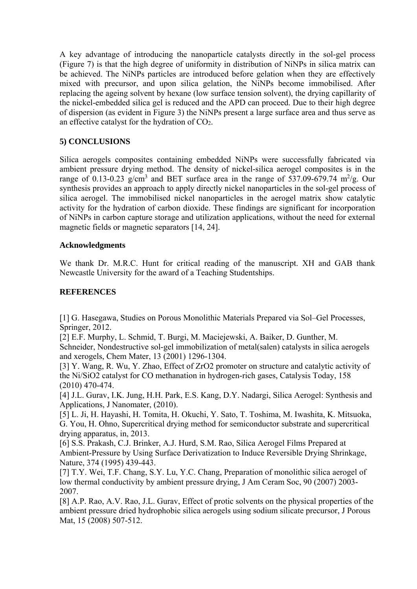A key advantage of introducing the nanoparticle catalysts directly in the sol-gel process (Figure 7) is that the high degree of uniformity in distribution of NiNPs in silica matrix can be achieved. The NiNPs particles are introduced before gelation when they are effectively mixed with precursor, and upon silica gelation, the NiNPs become immobilised. After replacing the ageing solvent by hexane (low surface tension solvent), the drying capillarity of the nickel-embedded silica gel is reduced and the APD can proceed. Due to their high degree of dispersion (as evident in Figure 3) the NiNPs present a large surface area and thus serve as an effective catalyst for the hydration of CO2.

# **5) CONCLUSIONS**

Silica aerogels composites containing embedded NiNPs were successfully fabricated via ambient pressure drying method. The density of nickel-silica aerogel composites is in the range of 0.13-0.23 g/cm<sup>3</sup> and BET surface area in the range of 537.09-679.74 m<sup>2</sup>/g. Our synthesis provides an approach to apply directly nickel nanoparticles in the sol-gel process of silica aerogel. The immobilised nickel nanoparticles in the aerogel matrix show catalytic activity for the hydration of carbon dioxide. These findings are significant for incorporation of NiNPs in carbon capture storage and utilization applications, without the need for external magnetic fields or magnetic separators [14, 24].

#### **Acknowledgments**

We thank Dr. M.R.C. Hunt for critical reading of the manuscript. XH and GAB thank Newcastle University for the award of a Teaching Studentships.

#### **REFERENCES**

[1] G. Hasegawa, Studies on Porous Monolithic Materials Prepared via Sol–Gel Processes, Springer, 2012.

[2] E.F. Murphy, L. Schmid, T. Burgi, M. Maciejewski, A. Baiker, D. Gunther, M. Schneider, Nondestructive sol-gel immobilization of metal(salen) catalysts in silica aerogels and xerogels, Chem Mater, 13 (2001) 1296-1304.

[3] Y. Wang, R. Wu, Y. Zhao, Effect of ZrO2 promoter on structure and catalytic activity of the Ni/SiO2 catalyst for CO methanation in hydrogen-rich gases, Catalysis Today, 158 (2010) 470-474.

[4] J.L. Gurav, I.K. Jung, H.H. Park, E.S. Kang, D.Y. Nadargi, Silica Aerogel: Synthesis and Applications, J Nanomater, (2010).

[5] L. Ji, H. Hayashi, H. Tomita, H. Okuchi, Y. Sato, T. Toshima, M. Iwashita, K. Mitsuoka, G. You, H. Ohno, Supercritical drying method for semiconductor substrate and supercritical drying apparatus, in, 2013.

[6] S.S. Prakash, C.J. Brinker, A.J. Hurd, S.M. Rao, Silica Aerogel Films Prepared at Ambient-Pressure by Using Surface Derivatization to Induce Reversible Drying Shrinkage, Nature, 374 (1995) 439-443.

[7] T.Y. Wei, T.F. Chang, S.Y. Lu, Y.C. Chang, Preparation of monolithic silica aerogel of low thermal conductivity by ambient pressure drying, J Am Ceram Soc, 90 (2007) 2003- 2007.

[8] A.P. Rao, A.V. Rao, J.L. Gurav, Effect of protic solvents on the physical properties of the ambient pressure dried hydrophobic silica aerogels using sodium silicate precursor, J Porous Mat, 15 (2008) 507-512.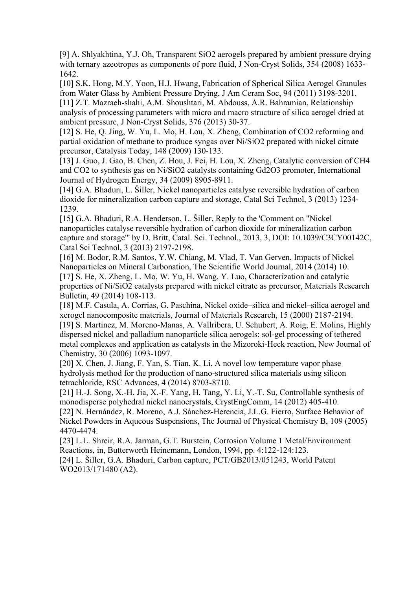[9] A. Shlyakhtina, Y.J. Oh, Transparent SiO2 aerogels prepared by ambient pressure drying with ternary azeotropes as components of pore fluid, J Non-Cryst Solids, 354 (2008) 1633- 1642.

[10] S.K. Hong, M.Y. Yoon, H.J. Hwang, Fabrication of Spherical Silica Aerogel Granules from Water Glass by Ambient Pressure Drying, J Am Ceram Soc, 94 (2011) 3198-3201. [11] Z.T. Mazraeh-shahi, A.M. Shoushtari, M. Abdouss, A.R. Bahramian, Relationship analysis of processing parameters with micro and macro structure of silica aerogel dried at ambient pressure, J Non-Cryst Solids, 376 (2013) 30-37.

[12] S. He, Q. Jing, W. Yu, L. Mo, H. Lou, X. Zheng, Combination of CO2 reforming and partial oxidation of methane to produce syngas over Ni/SiO2 prepared with nickel citrate precursor, Catalysis Today, 148 (2009) 130-133.

[13] J. Guo, J. Gao, B. Chen, Z. Hou, J. Fei, H. Lou, X. Zheng, Catalytic conversion of CH4 and CO2 to synthesis gas on Ni/SiO2 catalysts containing Gd2O3 promoter, International Journal of Hydrogen Energy, 34 (2009) 8905-8911.

[14] G.A. Bhaduri, L. Šiller, Nickel nanoparticles catalyse reversible hydration of carbon dioxide for mineralization carbon capture and storage, Catal Sci Technol, 3 (2013) 1234- 1239.

[15] G.A. Bhaduri, R.A. Henderson, L. Šiller, Reply to the 'Comment on "Nickel nanoparticles catalyse reversible hydration of carbon dioxide for mineralization carbon capture and storage"' by D. Britt, Catal. Sci. Technol., 2013, 3, DOI: 10.1039/C3CY00142C, Catal Sci Technol, 3 (2013) 2197-2198.

[16] M. Bodor, R.M. Santos, Y.W. Chiang, M. Vlad, T. Van Gerven, Impacts of Nickel Nanoparticles on Mineral Carbonation, The Scientific World Journal, 2014 (2014) 10. [17] S. He, X. Zheng, L. Mo, W. Yu, H. Wang, Y. Luo, Characterization and catalytic properties of Ni/SiO2 catalysts prepared with nickel citrate as precursor, Materials Research Bulletin, 49 (2014) 108-113.

[18] M.F. Casula, A. Corrias, G. Paschina, Nickel oxide–silica and nickel–silica aerogel and xerogel nanocomposite materials, Journal of Materials Research, 15 (2000) 2187-2194. [19] S. Martinez, M. Moreno-Manas, A. Vallribera, U. Schubert, A. Roig, E. Molins, Highly dispersed nickel and palladium nanoparticle silica aerogels: sol-gel processing of tethered metal complexes and application as catalysts in the Mizoroki-Heck reaction, New Journal of Chemistry, 30 (2006) 1093-1097.

[20] X. Chen, J. Jiang, F. Yan, S. Tian, K. Li, A novel low temperature vapor phase hydrolysis method for the production of nano-structured silica materials using silicon tetrachloride, RSC Advances, 4 (2014) 8703-8710.

[21] H.-J. Song, X.-H. Jia, X.-F. Yang, H. Tang, Y. Li, Y.-T. Su, Controllable synthesis of monodisperse polyhedral nickel nanocrystals, CrystEngComm, 14 (2012) 405-410.

[22] N. Hernández, R. Moreno, A.J. Sánchez-Herencia, J.L.G. Fierro, Surface Behavior of Nickel Powders in Aqueous Suspensions, The Journal of Physical Chemistry B, 109 (2005) 4470-4474.

[23] L.L. Shreir, R.A. Jarman, G.T. Burstein, Corrosion Volume 1 Metal/Environment Reactions, in, Butterworth Heinemann, London, 1994, pp. 4:122-124:123. [24] L. Šiller, G.A. Bhaduri, Carbon capture, PCT/GB2013/051243, World Patent

WO2013/171480 (A2).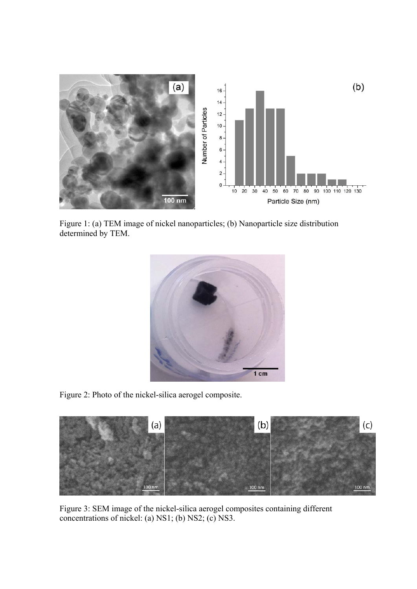

Figure 1: (a) TEM image of nickel nanoparticles; (b) Nanoparticle size distribution determined by TEM.



Figure 2: Photo of the nickel-silica aerogel composite.



Figure 3: SEM image of the nickel-silica aerogel composites containing different concentrations of nickel: (a) NS1; (b) NS2; (c) NS3.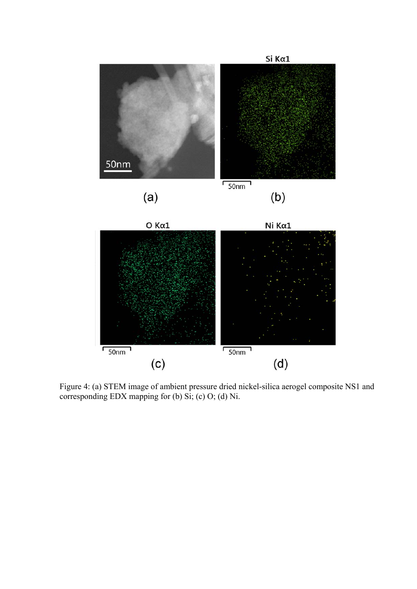

Figure 4: (a) STEM image of ambient pressure dried nickel-silica aerogel composite NS1 and corresponding EDX mapping for (b) Si; (c) O; (d) Ni.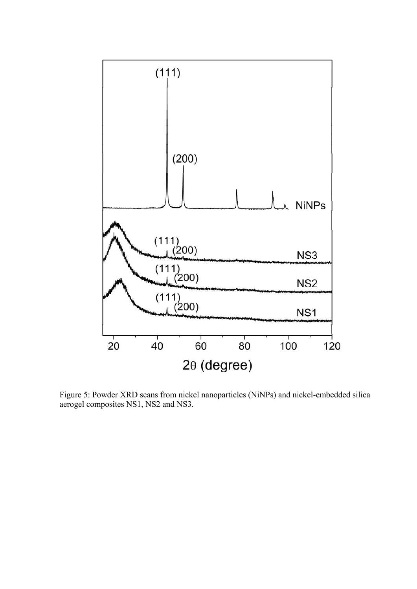

Figure 5: Powder XRD scans from nickel nanoparticles (NiNPs) and nickel-embedded silica aerogel composites NS1, NS2 and NS3.